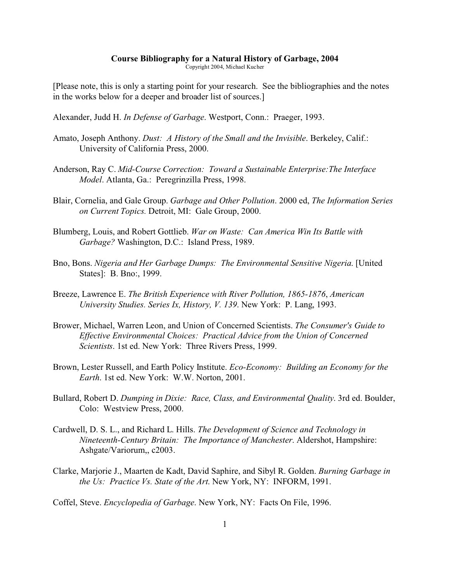## **Course Bibliography for a Natural History of Garbage, 2004**

Copyright 2004, Michael Kucher

[Please note, this is only a starting point for your research. See the bibliographies and the notes in the works below for a deeper and broader list of sources.]

Alexander, Judd H. *In Defense of Garbage*. Westport, Conn.: Praeger, 1993.

- Amato, Joseph Anthony. *Dust: A History of the Small and the Invisible*. Berkeley, Calif.: University of California Press, 2000.
- Anderson, Ray C. *Mid-Course Correction: Toward a Sustainable Enterprise:The Interface Model*. Atlanta, Ga.: Peregrinzilla Press, 1998.
- Blair, Cornelia, and Gale Group. *Garbage and Other Pollution*. 2000 ed, *The Information Series on Current Topics.* Detroit, MI: Gale Group, 2000.
- Blumberg, Louis, and Robert Gottlieb. *War on Waste: Can America Win Its Battle with Garbage?* Washington, D.C.: Island Press, 1989.
- Bno, Bons. *Nigeria and Her Garbage Dumps: The Environmental Sensitive Nigeria*. [United States]: B. Bno:, 1999.
- Breeze, Lawrence E. *The British Experience with River Pollution, 1865-1876*, *American University Studies. Series Ix, History, V. 139*. New York: P. Lang, 1993.
- Brower, Michael, Warren Leon, and Union of Concerned Scientists. *The Consumer's Guide to Effective Environmental Choices: Practical Advice from the Union of Concerned Scientists*. 1st ed. New York: Three Rivers Press, 1999.
- Brown, Lester Russell, and Earth Policy Institute. *Eco-Economy: Building an Economy for the Earth*. 1st ed. New York: W.W. Norton, 2001.
- Bullard, Robert D. *Dumping in Dixie: Race, Class, and Environmental Quality*. 3rd ed. Boulder, Colo: Westview Press, 2000.
- Cardwell, D. S. L., and Richard L. Hills. *The Development of Science and Technology in Nineteenth-Century Britain: The Importance of Manchester*. Aldershot, Hampshire: Ashgate/Variorum,, c2003.
- Clarke, Marjorie J., Maarten de Kadt, David Saphire, and Sibyl R. Golden. *Burning Garbage in the Us: Practice Vs. State of the Art*. New York, NY: INFORM, 1991.

Coffel, Steve. *Encyclopedia of Garbage*. New York, NY: Facts On File, 1996.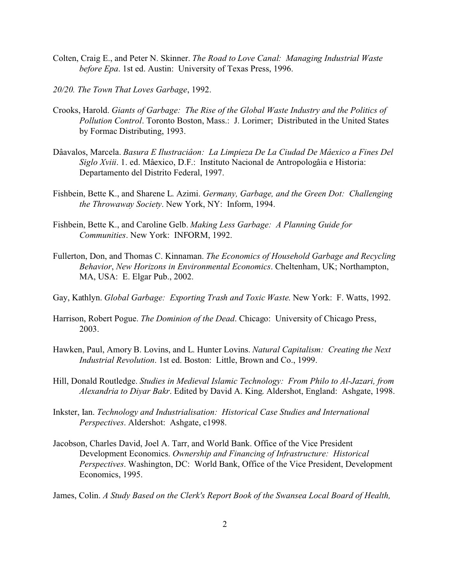- Colten, Craig E., and Peter N. Skinner. *The Road to Love Canal: Managing Industrial Waste before Epa*. 1st ed. Austin: University of Texas Press, 1996.
- *20/20. The Town That Loves Garbage*, 1992.
- Crooks, Harold. *Giants of Garbage: The Rise of the Global Waste Industry and the Politics of Pollution Control*. Toronto Boston, Mass.: J. Lorimer; Distributed in the United States by Formac Distributing, 1993.
- Dâavalos, Marcela. *Basura E Ilustraciâon: La Limpieza De La Ciudad De Mâexico a Fines Del Siglo Xviii*. 1. ed. Mâexico, D.F.: Instituto Nacional de Antropologâia e Historia: Departamento del Distrito Federal, 1997.
- Fishbein, Bette K., and Sharene L. Azimi. *Germany, Garbage, and the Green Dot: Challenging the Throwaway Society*. New York, NY: Inform, 1994.
- Fishbein, Bette K., and Caroline Gelb. *Making Less Garbage: A Planning Guide for Communities*. New York: INFORM, 1992.
- Fullerton, Don, and Thomas C. Kinnaman. *The Economics of Household Garbage and Recycling Behavior*, *New Horizons in Environmental Economics*. Cheltenham, UK; Northampton, MA, USA: E. Elgar Pub., 2002.
- Gay, Kathlyn. *Global Garbage: Exporting Trash and Toxic Waste*. New York: F. Watts, 1992.
- Harrison, Robert Pogue. *The Dominion of the Dead*. Chicago: University of Chicago Press, 2003.
- Hawken, Paul, Amory B. Lovins, and L. Hunter Lovins. *Natural Capitalism: Creating the Next Industrial Revolution*. 1st ed. Boston: Little, Brown and Co., 1999.
- Hill, Donald Routledge. *Studies in Medieval Islamic Technology: From Philo to Al-Jazari, from Alexandria to Diyar Bakr*. Edited by David A. King. Aldershot, England: Ashgate, 1998.
- Inkster, Ian. *Technology and Industrialisation: Historical Case Studies and International Perspectives*. Aldershot: Ashgate, c1998.
- Jacobson, Charles David, Joel A. Tarr, and World Bank. Office of the Vice President Development Economics. *Ownership and Financing of Infrastructure: Historical Perspectives*. Washington, DC: World Bank, Office of the Vice President, Development Economics, 1995.
- James, Colin. *A Study Based on the Clerk's Report Book of the Swansea Local Board of Health,*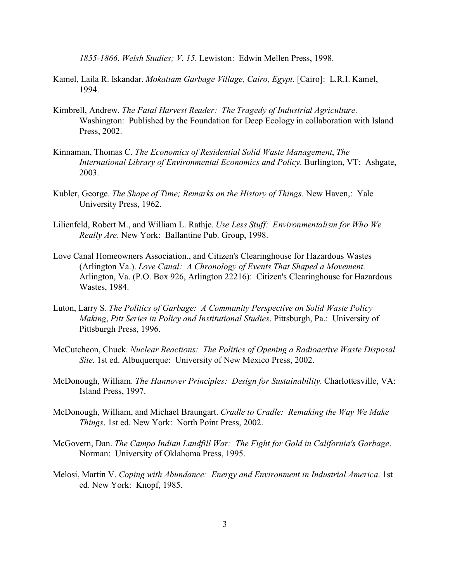*1855-1866*, *Welsh Studies; V. 15*. Lewiston: Edwin Mellen Press, 1998.

- Kamel, Laila R. Iskandar. *Mokattam Garbage Village, Cairo, Egypt*. [Cairo]: L.R.I. Kamel, 1994.
- Kimbrell, Andrew. *The Fatal Harvest Reader: The Tragedy of Industrial Agriculture*. Washington: Published by the Foundation for Deep Ecology in collaboration with Island Press, 2002.
- Kinnaman, Thomas C. *The Economics of Residential Solid Waste Management*, *The International Library of Environmental Economics and Policy*. Burlington, VT: Ashgate, 2003.
- Kubler, George. *The Shape of Time; Remarks on the History of Things*. New Haven,: Yale University Press, 1962.
- Lilienfeld, Robert M., and William L. Rathje. *Use Less Stuff: Environmentalism for Who We Really Are*. New York: Ballantine Pub. Group, 1998.
- Love Canal Homeowners Association., and Citizen's Clearinghouse for Hazardous Wastes (Arlington Va.). *Love Canal: A Chronology of Events That Shaped a Movement*. Arlington, Va. (P.O. Box 926, Arlington 22216): Citizen's Clearinghouse for Hazardous Wastes, 1984.
- Luton, Larry S. *The Politics of Garbage: A Community Perspective on Solid Waste Policy Making*, *Pitt Series in Policy and Institutional Studies*. Pittsburgh, Pa.: University of Pittsburgh Press, 1996.
- McCutcheon, Chuck. *Nuclear Reactions: The Politics of Opening a Radioactive Waste Disposal Site*. 1st ed. Albuquerque: University of New Mexico Press, 2002.
- McDonough, William. *The Hannover Principles: Design for Sustainability*. Charlottesville, VA: Island Press, 1997.
- McDonough, William, and Michael Braungart. *Cradle to Cradle: Remaking the Way We Make Things*. 1st ed. New York: North Point Press, 2002.
- McGovern, Dan. *The Campo Indian Landfill War: The Fight for Gold in California's Garbage*. Norman: University of Oklahoma Press, 1995.
- Melosi, Martin V. *Coping with Abundance: Energy and Environment in Industrial America*. 1st ed. New York: Knopf, 1985.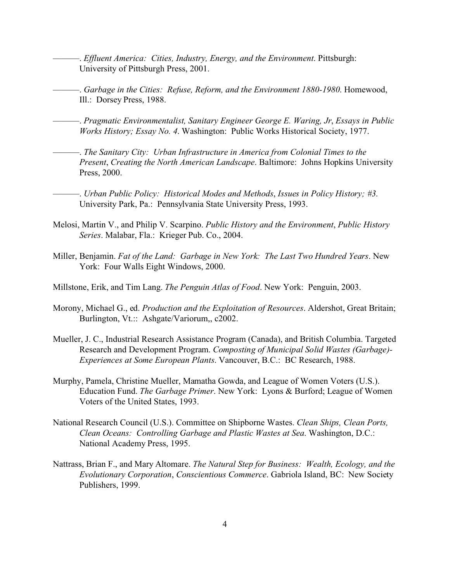- ———. *Effluent America: Cities, Industry, Energy, and the Environment*. Pittsburgh: University of Pittsburgh Press, 2001.
- ———. *Garbage in the Cities: Refuse, Reform, and the Environment 1880-1980*. Homewood, Ill.: Dorsey Press, 1988.
- ———. *Pragmatic Environmentalist, Sanitary Engineer George E. Waring, Jr*, *Essays in Public Works History; Essay No. 4*. Washington: Public Works Historical Society, 1977.
- ———. *The Sanitary City: Urban Infrastructure in America from Colonial Times to the Present*, *Creating the North American Landscape*. Baltimore: Johns Hopkins University Press, 2000.
- ———. *Urban Public Policy: Historical Modes and Methods*, *Issues in Policy History; #3*. University Park, Pa.: Pennsylvania State University Press, 1993.
- Melosi, Martin V., and Philip V. Scarpino. *Public History and the Environment*, *Public History Series*. Malabar, Fla.: Krieger Pub. Co., 2004.
- Miller, Benjamin. *Fat of the Land: Garbage in New York: The Last Two Hundred Years*. New York: Four Walls Eight Windows, 2000.
- Millstone, Erik, and Tim Lang. *The Penguin Atlas of Food*. New York: Penguin, 2003.
- Morony, Michael G., ed. *Production and the Exploitation of Resources*. Aldershot, Great Britain; Burlington, Vt.:: Ashgate/Variorum,, c2002.
- Mueller, J. C., Industrial Research Assistance Program (Canada), and British Columbia. Targeted Research and Development Program. *Composting of Municipal Solid Wastes (Garbage)- Experiences at Some European Plants*. Vancouver, B.C.: BC Research, 1988.
- Murphy, Pamela, Christine Mueller, Mamatha Gowda, and League of Women Voters (U.S.). Education Fund. *The Garbage Primer*. New York: Lyons & Burford; League of Women Voters of the United States, 1993.
- National Research Council (U.S.). Committee on Shipborne Wastes. *Clean Ships, Clean Ports, Clean Oceans: Controlling Garbage and Plastic Wastes at Sea*. Washington, D.C.: National Academy Press, 1995.
- Nattrass, Brian F., and Mary Altomare. *The Natural Step for Business: Wealth, Ecology, and the Evolutionary Corporation*, *Conscientious Commerce*. Gabriola Island, BC: New Society Publishers, 1999.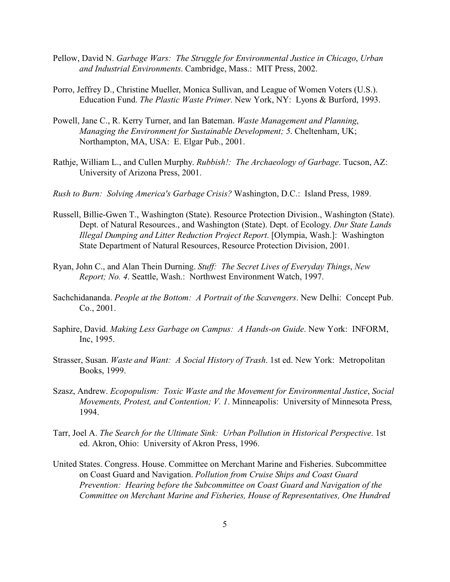- Pellow, David N. *Garbage Wars: The Struggle for Environmental Justice in Chicago*, *Urban and Industrial Environments*. Cambridge, Mass.: MIT Press, 2002.
- Porro, Jeffrey D., Christine Mueller, Monica Sullivan, and League of Women Voters (U.S.). Education Fund. *The Plastic Waste Primer*. New York, NY: Lyons & Burford, 1993.
- Powell, Jane C., R. Kerry Turner, and Ian Bateman. *Waste Management and Planning*, *Managing the Environment for Sustainable Development; 5*. Cheltenham, UK; Northampton, MA, USA: E. Elgar Pub., 2001.
- Rathje, William L., and Cullen Murphy. *Rubbish!: The Archaeology of Garbage*. Tucson, AZ: University of Arizona Press, 2001.
- *Rush to Burn: Solving America's Garbage Crisis?* Washington, D.C.: Island Press, 1989.
- Russell, Billie-Gwen T., Washington (State). Resource Protection Division., Washington (State). Dept. of Natural Resources., and Washington (State). Dept. of Ecology. *Dnr State Lands Illegal Dumping and Litter Reduction Project Report*. [Olympia, Wash.]: Washington State Department of Natural Resources, Resource Protection Division, 2001.
- Ryan, John C., and Alan Thein Durning. *Stuff: The Secret Lives of Everyday Things*, *New Report; No. 4*. Seattle, Wash.: Northwest Environment Watch, 1997.
- Sachchidananda. *People at the Bottom: A Portrait of the Scavengers*. New Delhi: Concept Pub. Co., 2001.
- Saphire, David. *Making Less Garbage on Campus: A Hands-on Guide*. New York: INFORM, Inc, 1995.
- Strasser, Susan. *Waste and Want: A Social History of Trash*. 1st ed. New York: Metropolitan Books, 1999.
- Szasz, Andrew. *Ecopopulism: Toxic Waste and the Movement for Environmental Justice*, *Social Movements, Protest, and Contention; V. 1*. Minneapolis: University of Minnesota Press, 1994.
- Tarr, Joel A. *The Search for the Ultimate Sink: Urban Pollution in Historical Perspective*. 1st ed. Akron, Ohio: University of Akron Press, 1996.
- United States. Congress. House. Committee on Merchant Marine and Fisheries. Subcommittee on Coast Guard and Navigation. *Pollution from Cruise Ships and Coast Guard Prevention: Hearing before the Subcommittee on Coast Guard and Navigation of the Committee on Merchant Marine and Fisheries, House of Representatives, One Hundred*